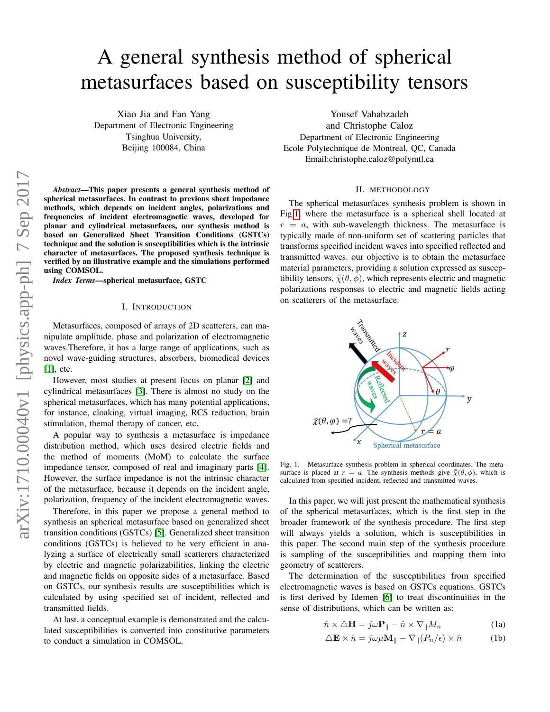# A general synthesis method of spherical metasurfaces based on susceptibility tensors

Xiao Jia and Fan Yang Department of Electronic Engineering Tsinghua University, Beijing 100084, China

*Abstract*—This paper presents a general synthesis method of spherical metasurfaces. In contrast to previous sheet impedance methods, which depends on incident angles, polarizations and frequencies of incident electromagnetic waves, developed for planar and cylindrical metasurfaces, our synthesis method is based on Generalized Sheet Transition Conditions (GSTCs) technique and the solution is susceptibilities which is the intrinsic character of metasurfaces. The proposed synthesis technique is verified by an illustrative example and the simulations performed using COMSOL.

*Index Terms*—spherical metasurface, GSTC

#### I. INTRODUCTION

Metasurfaces, composed of arrays of 2D scatterers, can manipulate amplitude, phase and polarization of electromagnetic waves.Therefore, it has a large range of applications, such as novel wave-guiding structures, absorbers, biomedical devices [\[1\]](#page-2-0), etc.

However, most studies at present focus on planar [\[2\]](#page-2-1) and cylindrical metasurfaces [\[3\]](#page-2-2). There is almost no study on the spherical metasurfaces, which has many potential applications, for instance, cloaking, virtual imaging, RCS reduction, brain stimulation, themal therapy of cancer, etc.

A popular way to synthesis a metasurface is impedance distribution method, which uses desired electric fields and the method of moments (MoM) to calculate the surface impedance tensor, composed of real and imaginary parts [\[4\]](#page-2-3). However, the surface impedance is not the intrinsic character of the metasurface, because it depends on the incident angle, polarization, frequency of the incident electromagnetic waves.

Therefore, in this paper we propose a general method to synthesis an spherical metasurface based on generalized sheet transition conditions (GSTCs) [\[5\]](#page-2-4). Generalized sheet transition conditions (GSTCs) is believed to be very efficient in analyzing a surface of electrically small scatterers characterized by electric and magnetic polarizabilities, linking the electric and magnetic fields on opposite sides of a metasurface. Based on GSTCs, our synthesis results are susceptibilities which is calculated by using specified set of incident, reflected and transmitted fields.

At last, a conceptual example is demonstrated and the calculated susceptibilities is converted into constitutive parameters to conduct a simulation in COMSOL.

Yousef Vahabzadeh and Christophe Caloz Department of Electronic Engineering Ecole Polytechnique de Montreal, QC, Canada Email:christophe.caloz@polymtl.ca

#### II. METHODOLOGY

The spherical metasurfaces synthesis problem is shown in Fig[.1,](#page-0-0) where the metasurface is a spherical shell located at  $r = a$ , with sub-wavelength thickness. The metasurface is typically made of non-uniform set of scattering particles that transforms specified incident waves into specified reflected and transmitted waves. our objective is to obtain the metasurface material parameters, providing a solution expressed as susceptibility tensors,  $\bar{\bar{\chi}}(\theta, \phi)$ , which represents electric and magnetic polarizations responses to electric and magnetic fields acting on scatterers of the metasurface.



<span id="page-0-0"></span>Fig. 1. Metasurface synthesis problem in spherical coordinates. The metasurface is placed at  $r = a$ . The synthesis methods give  $\bar{\bar{\chi}}(\theta, \phi)$ , which is calculated from specified incident, reflected and transmitted waves.

In this paper, we will just present the mathematical synthesis of the spherical metasurfaces, which is the first step in the broader framework of the synthesis procedure. The first step will always yields a solution, which is susceptibilities in this paper. The second main step of the synthesis procedure is sampling of the susceptibilities and mapping them into geometry of scatterers.

The determination of the susceptibilities from specified electromagnetic waves is based on GSTCs equations. GSTCs is first derived by Idemen [\[6\]](#page-2-5) to treat discontinuities in the sense of distributions, which can be written as:

<span id="page-0-1"></span>
$$
\hat{n} \times \Delta \mathbf{H} = j\omega \mathbf{P}_{\parallel} - \hat{n} \times \nabla_{\parallel} M_n \tag{1a}
$$

$$
\Delta \mathbf{E} \times \hat{n} = j\omega\mu \mathbf{M}_{\parallel} - \nabla_{\parallel} (P_n/\epsilon) \times \hat{n}
$$
 (1b)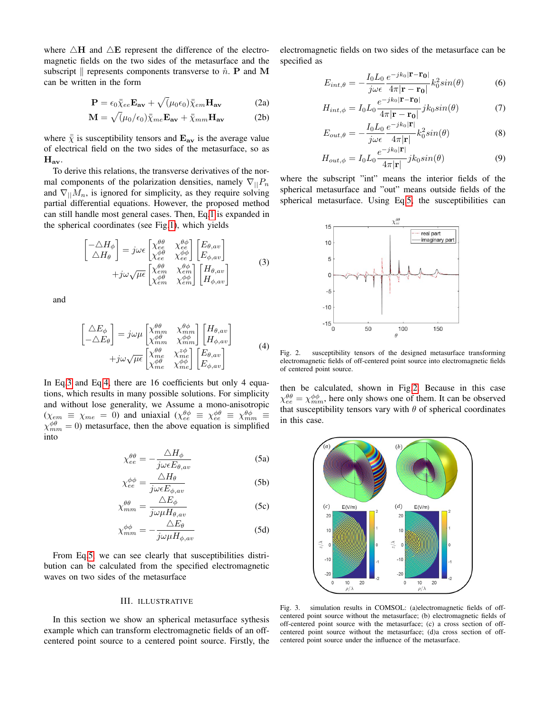where  $\triangle H$  and  $\triangle E$  represent the difference of the electromagnetic fields on the two sides of the metasurface and the subscript  $\parallel$  represents components transverse to  $\hat{n}$ . P and M can be written in the form

$$
\mathbf{P} = \epsilon_0 \bar{\bar{\chi}}_{ee} \mathbf{E}_{\mathbf{av}} + \sqrt{(\mu_0 \epsilon_0)} \bar{\bar{\chi}}_{em} \mathbf{H}_{\mathbf{av}} \tag{2a}
$$

$$
\mathbf{M} = \sqrt{\left(\mu_0/\epsilon_0\right)}\bar{\bar{\chi}}_{me}\mathbf{E}_{\mathbf{av}} + \bar{\bar{\chi}}_{mm}\mathbf{H}_{\mathbf{av}} \tag{2b}
$$

where  $\bar{\overline{\chi}}$  is susceptibility tensors and  $\mathbf{E_{av}}$  is the average value of electrical field on the two sides of the metasurface, so as  $H_{av}$ .

To derive this relations, the transverse derivatives of the normal components of the polarization densities, namely  $\nabla_{||}P_n$ and  $\nabla_{\parallel} M_n$ , is ignored for simplicity, as they require solving partial differential equations. However, the proposed method can still handle most general cases. Then, Eq[.1](#page-0-1) is expanded in the spherical coordinates (see Fig[.1\)](#page-0-0), which yields

$$
\begin{bmatrix}\n-\Delta H_{\phi} \\
\Delta H_{\theta}\n\end{bmatrix} = j\omega \epsilon \begin{bmatrix}\n\chi_{ee}^{\theta\theta} & \chi_{ee}^{\theta\phi} \\
\chi_{ee}^{\phi\theta} & \chi_{ee}^{\phi\phi}\n\end{bmatrix} \begin{bmatrix}\nE_{\theta,av} \\
E_{\phi,av}\n\end{bmatrix} + j\omega \sqrt{\mu \epsilon} \begin{bmatrix}\n\chi_{ee}^{\theta\theta} & \chi_{ee}^{\theta\phi} \\
\chi_{em}^{\theta\theta} & \chi_{em}^{\theta\phi}\n\end{bmatrix} \begin{bmatrix}\nH_{\theta,av} \\
H_{\phi,av}\n\end{bmatrix}
$$
\n(3)

<span id="page-1-0"></span>and

$$
\begin{bmatrix}\n\Delta E_{\phi} \\
-\Delta E_{\theta}\n\end{bmatrix} = j\omega\mu \begin{bmatrix}\n\chi_{mm}^{\theta\theta} & \chi_{mm}^{\theta\phi} \\
\chi_{mm}^{\phi\theta} & \chi_{mm}^{\phi\phi}\n\end{bmatrix} \begin{bmatrix}\nH_{\theta,av} \\
H_{\phi,av}\n\end{bmatrix} + j\omega\sqrt{\mu\epsilon} \begin{bmatrix}\n\chi_{\theta\theta}^{\theta} & \chi_{\theta\phi}^{z\phi} \\
\chi_{\theta\theta}^{\theta\theta} & \chi_{\theta\theta}^{\phi\phi} \\
\chi_{\theta\theta}^{\phi\theta} & \chi_{\theta\theta}^{\phi\phi}\n\end{bmatrix} \begin{bmatrix}\nE_{\theta,av} \\
E_{\phi,av}\n\end{bmatrix}
$$
\n(4)

<span id="page-1-2"></span><span id="page-1-1"></span>In Eq[.3](#page-1-0) and Eq[.4,](#page-1-1) there are 16 coefficients but only 4 equations, which results in many possible solutions. For simplicity and without lose generality, we Assume a mono-anisotropic  $(\chi_{em} \equiv \chi_{me} = 0)$  and uniaxial  $(\chi_{ee}^{\theta \phi} \equiv \chi_{ee}^{\phi \theta} \equiv \chi_{mm}^{\theta \phi} \equiv$  $\chi_{mm}^{\phi\theta} = 0$ ) metasurface, then the above equation is simplified into

$$
\chi_{ee}^{\theta\theta} = -\frac{\Delta H_{\phi}}{j\omega\epsilon E_{\theta,av}}\tag{5a}
$$

$$
\chi_{ee}^{\phi\phi} = \frac{\Delta H_{\theta}}{j\omega\epsilon E_{\phi,av}}\tag{5b}
$$

$$
\chi_{mm}^{\theta\theta} = \frac{\Delta E_{\phi}}{j\omega\mu H_{\theta,av}}\tag{5c}
$$

$$
\chi_{mm}^{\phi\phi} = -\frac{\Delta E_{\theta}}{j\omega\mu H_{\phi,av}}\tag{5d}
$$

From Eq[.5,](#page-1-2) we can see clearly that susceptibilities distribution can be calculated from the specified electromagnetic waves on two sides of the metasurface

### III. ILLUSTRATIVE

In this section we show an spherical metasurface sythesis example which can transform electromagnetic fields of an offcentered point source to a centered point source. Firstly, the electromagnetic fields on two sides of the metasurface can be specified as

$$
E_{int,\theta} = -\frac{I_0 L_0}{j\omega\epsilon} \frac{e^{-jk_0|\mathbf{r} - \mathbf{r_0}|}}{4\pi |\mathbf{r} - \mathbf{r_0}|} k_0^2 sin(\theta)
$$
 (6)

$$
H_{int,\phi} = I_0 L_0 \frac{e^{-jk_0|\mathbf{r} - \mathbf{r}_0|}}{4\pi |\mathbf{r} - \mathbf{r}_0|} jk_0 \sin(\theta)
$$
 (7)

$$
E_{out,\theta} = -\frac{I_0 L_0}{j\omega\epsilon} \frac{e^{-jk_0|\mathbf{r}|}}{4\pi |\mathbf{r}|} k_0^2 sin(\theta)
$$
 (8)

$$
H_{out,\phi} = I_0 L_0 \frac{e^{-jk_0|\mathbf{r}|}}{4\pi|\mathbf{r}|} jk_0 \sin(\theta)
$$
\n(9)

where the subscript "int" means the interior fields of the spherical metasurface and "out" means outside fields of the spherical metasurface. Using Eq[.5,](#page-1-2) the susceptibilities can



<span id="page-1-3"></span>Fig. 2. susceptibility tensors of the designed metasurface transforming electromagnetic fields of off-centered point source into electromagnetic fields of centered point source.

then be calculated, shown in Fig[.2.](#page-1-3) Because in this case  $\chi_{ee}^{\theta\theta} = \chi_{mm}^{\phi\phi}$ , here only shows one of them. It can be observed that susceptibility tensors vary with  $\theta$  of spherical coordinates in this case.



<span id="page-1-4"></span>Fig. 3. simulation results in COMSOL: (a)electromagnetic fields of offcentered point source without the metasurface; (b) electromagnetic fields of off-centered point source with the metasurface; (c) a cross section of offcentered point source without the metasurface; (d)a cross section of offcentered point source under the influence of the metasurface.